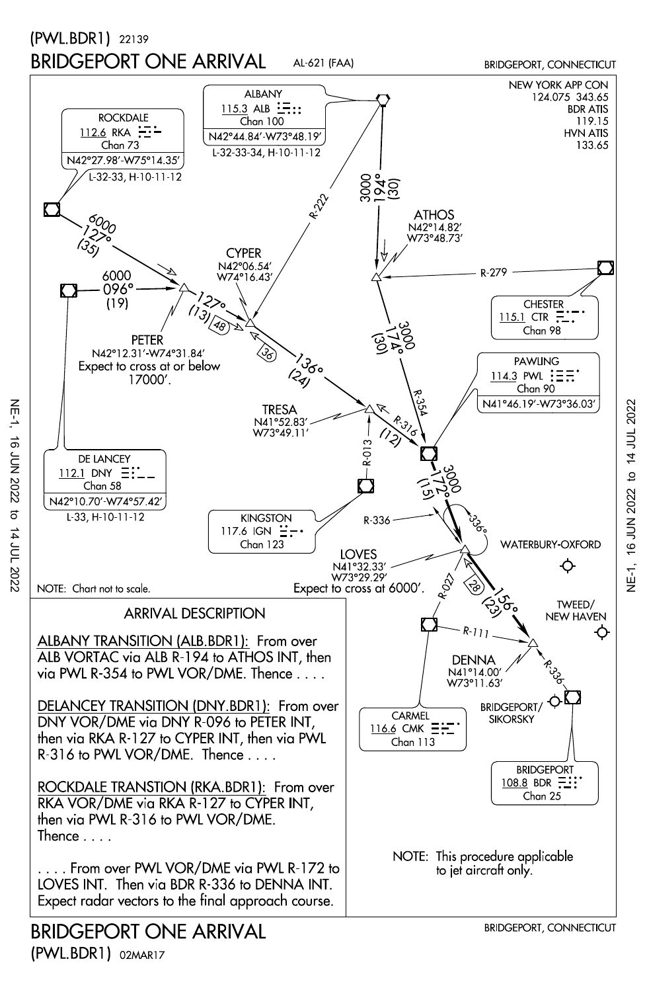

(PWL.BDR1) 02MAR17

NE-1, 16 JUN 2022 to 14 JUL 2022

 $\overline{5}$ 

14 JUL 2022

**16 JUN 2022** 

NE-1,